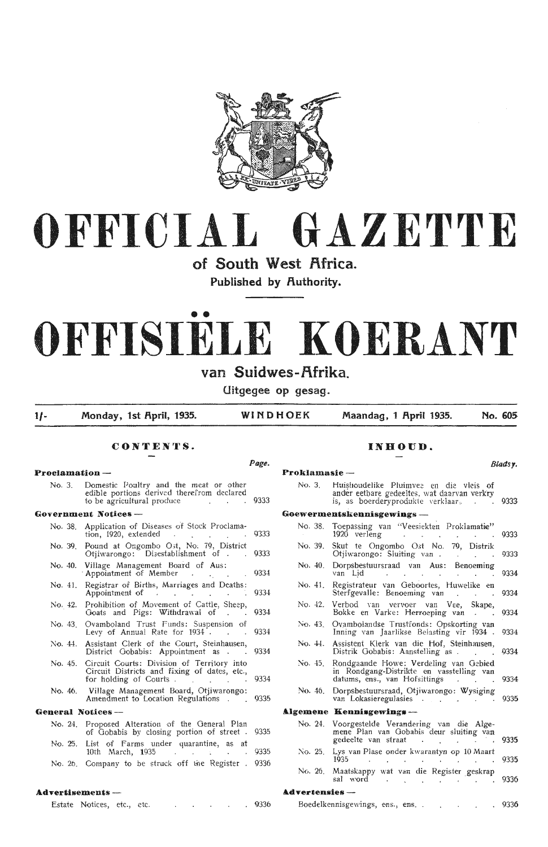

# **OFFICIAL GAZETTE**

# of South West Africa.

Published by **Authority**.

# •• **OFFISIELE KOERANT**

## van Suidwes-Afrika.

**Uitgegee op gesag.** 

**1/- Monday, 1st 1\pril, 1935. WINDHOEK Maandag, 1 1\pril 1935. No. 605** 

## **CONTENTS. INBOUD.**

#### **Proclamation -- Proclamation --**

| No. 3. Domestic Poultry and the meat or other<br>edible portions derived therefrom declared<br>to be agricultural produce and the set of the set of the set of the set of the set of the set of the set of the set of the set of the set of the set of the set of the set of the set of the set of the set of the set of the |  |
|------------------------------------------------------------------------------------------------------------------------------------------------------------------------------------------------------------------------------------------------------------------------------------------------------------------------------|--|
| <b>Government Notices ---</b>                                                                                                                                                                                                                                                                                                |  |
| No. 38. Application of Diseases of Stock Proclama-<br>tion, $1920$ , extended 9333                                                                                                                                                                                                                                           |  |
| No. 39. Pound at Ongombo Ost, No. 79, District<br>Otiiwarongo: Disestablishment of . 9333                                                                                                                                                                                                                                    |  |
| No. 40. Village Management Board of Aus:<br>Appointment of Member 9334                                                                                                                                                                                                                                                       |  |
| No. 41. Registrar of Births, Marriages and Deaths:<br>Appointment of the contract of the contract of the contract of the contract of the contract of the contract of the contract of the contract of the contract of the contract of the contract of the contract of the contract of                                         |  |
| No. 42. Prohibition of Movement of Cattle, Sheep,<br>Goats and Pigs: Withdrawal of 9334                                                                                                                                                                                                                                      |  |
| No. 43. Ovamboland Trust Funds: Suspension of<br>Levy of Annual Rate for 1934. 9334                                                                                                                                                                                                                                          |  |
| No. 44. Assistant Clerk of the Court, Steinhausen,<br>District Gobabis: Appointment as 9334                                                                                                                                                                                                                                  |  |

- No. 45. Circuit Courts: Division of Territory into Circuit Districts and fixing of dates, etc., for holding of Courts . The contract of the contract of the contract of the contract of the contract of the contract of the contract of the contract of the contract of the contract of the contract of the contract of the co
- No. 46. Village Management Board, Otjiwarongo: Amendment to Location Regulations . (9335)

#### **General Notices** -

- No. 24. Proposed Alteration of the General Plan of Gobabis by closing portion of street . 9335 No. 25. List of Farms under quarantine, as at 10th March, 1935 10th March, 1935
- No. 26. Company to be struck off the Register . 9336

#### **Advertisements** -

Estate Notices, etc., etc. . . . . . . 9336

| Page.        |                        |                                                                                                                                                                                                   | Blads <b>y</b> . |  |  |  |  |  |  |
|--------------|------------------------|---------------------------------------------------------------------------------------------------------------------------------------------------------------------------------------------------|------------------|--|--|--|--|--|--|
|              | Proklamasie-           |                                                                                                                                                                                                   |                  |  |  |  |  |  |  |
| 9333         | No. 3.                 | Huishoudelike Pluimvee en die vleis of<br>ander eetbare gedeeltes, wat daarvan verkry<br>is, as boerderyprodukte verklaar. .                                                                      | 9333             |  |  |  |  |  |  |
|              |                        | Goewermentskennisgewings -                                                                                                                                                                        |                  |  |  |  |  |  |  |
| 9333         | No. 38.                | Toepassing van "Veesiekten Proklamatie"<br>1920 verleng<br>$\sim$ $-$<br>$\mathcal{L}_{\mathcal{A}}$<br>$\sim 100$                                                                                | 9333             |  |  |  |  |  |  |
| 9333         | No. 39.                | Skut te Ongombo Ost No. 79, Distrik<br>Otjiwarongo: Sluiting van<br>$\sim 10^{-11}$                                                                                                               | 9333             |  |  |  |  |  |  |
| 9334         | No. 40.                | Dorpsbestuursraad van Aus: Benoeming<br>van Lider .<br>the control of the con-<br>$\cdot$<br>$\sim 100$ km s $^{-1}$                                                                              | 9334             |  |  |  |  |  |  |
| 9334         | No. 41.                | Registrateur van Geboortes, Huwelike en<br>Sterfgevalle: Benoeming van<br>$\Delta \sim 10^{-11}$<br>$\mathbf{r}$                                                                                  | 9334             |  |  |  |  |  |  |
| 9334         | No. 42.                | Verbod van vervoer van Vee.<br>Skape,<br>Bokke en Varke: Herroeping van.<br>$\sim$                                                                                                                | 9334             |  |  |  |  |  |  |
| 9334         | No. 43.                | Ovambolandse Trustfonds: Opskorting van<br>Inning van Jaarlikse Belasting vir 1934.                                                                                                               | 9334             |  |  |  |  |  |  |
| 9334         | No. 44.                | Assistent Klerk van die Hof, Steinhausen,<br>Distrik Gobabis: Aanstelling as.                                                                                                                     | 9334             |  |  |  |  |  |  |
| 9334         | No. 45.                | Rondgaande Howe: Verdeling van Gebied<br>in Rondgang-Distrikte en vasstelling van<br>datums, ens., van Hofsittings<br><b>Contractor</b>                                                           | 9334             |  |  |  |  |  |  |
| 9335         | No. 46.                | Dorpsbestuursraad, Otjiwarongo: Wysiging<br>van Lokasieregulasies                                                                                                                                 | 9335             |  |  |  |  |  |  |
|              |                        | Algemene Kennisgewings-                                                                                                                                                                           |                  |  |  |  |  |  |  |
| 9335         | No. 24.                | Voorgestelde Verandering van die Alge-<br>mene Plan van Gobabis deur sluiting van<br>gedeelte van straat<br>$\mathcal{L}(\mathbf{x}) = \mathcal{L}(\mathbf{x})$ , where $\mathcal{L}(\mathbf{x})$ | 9335             |  |  |  |  |  |  |
| 9335<br>9336 | No. 25.                | Lys van Plase onder kwarantyn op 10 Maart<br>1935<br><b>Contractor</b><br>$\cdot$ $\cdot$ $\cdot$<br>$\sim$<br>$\sim$<br>$\sim 10^{-1}$<br>$\sim$ 100 $\mu$                                       | 9335             |  |  |  |  |  |  |
|              | No. 26.                | Maatskappy wat van die Register geskrap<br>sal word<br><b>Contract Contract</b><br>$\sim$<br>$\sim$                                                                                               | 9336             |  |  |  |  |  |  |
|              | <b>Advertensies</b> -- |                                                                                                                                                                                                   |                  |  |  |  |  |  |  |
| 9336         |                        | $\mathbf{L}^{\text{max}}$<br>$\mathbf{r}$                                                                                                                                                         | 9336             |  |  |  |  |  |  |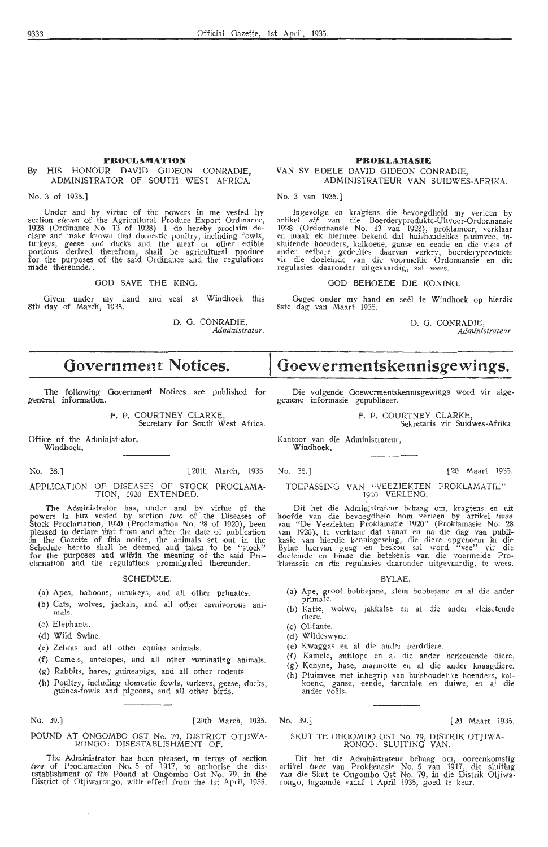#### **PROCLAMA TIO.N By** HIS HONOUR DAVID GIDEON CONRADIE, **ADMINISTRATOR OF SOUTH WEST AFRICA.**

#### **No.** 3 of 1935.)

Under and by virtue of the powers in me vested Qy section *eleven* of the Agricultural Produce Export Ordinance, 1928 (Ordinance No. 13 of 1928) I do hereby proclaim declare and make known that domestic poultry, including fowls, turkeys, geese and duck's and the meat or other edible portions derived therefrom, shall be agricultural produce for the purposes of the said Ordinance and the regulations made thereunder.

#### GOD SAVE THE KING.

Given under my hand and seal at Windhoek this 8th day of March, 1935.

> D. G. CONRADIE, Administrator.

## **Government Notices.**

**The** following Government Notioes are published for general information.

> F. P. COURTNEY CLARKE Secretary for South West Africa.

Office of the Administrator, Windhoek.

No. 38.] [20th March, 1935. No. 38.] (20 Maart 1935.

APPLICATION OF DISEASES OF STOCK PROCLAMA- TION, 1920 EXTENDED.

The Administrator has, under and by virtue of the powers in him vested by section two of the Diseases of Stock Proclamation, 1920 (Proclamation No. 28 of 1920), been pleased to declare that from and after the date of publication in the Gazette of this notice, the animals set out in the Schedule hereto shall be deemed and taken to be "stock" for the purposes and within the meaning of the said Pro- clamation . and the regulations promulgated thereunder.

#### SCHEDULE.

- (a) Apes, baboons, monkeys, and all other primates.
- (b) Cats, wolves, jackals, and all other carnivorous animals.
- (c) Elephants.
- (d) Wild Swine.
- (e) Zebras and all other equine animals.
- (f) Camels, antelopes, and all other ruminating animals.
- (g) Rabbits, hares, guineapigs, and all other rodents.
- (h') Poultry, including domestic fowls, turkeys, geese, ducks, guinea-fowls and pigeons, and all other birds.

## POUND AT ONGOMBO OST No. 79, DISTRICT OTJIWA-<br>RONGO: DISESTABLISHMENT OF.

The Administrator has been pleased, in terms of section *two* of Proclamation No. 5 of 1917, to authorise the disestablishment of the Pound at Ongombo Ost No. 79, in the District of Otjiwarongo, with effect from the 1st April, 1935.

#### **PROKLAMASIE**  VAN SY EDELE DAVID GIDEON CONRADIE, ADMINISTRATEUR VAN SUIDWES-AFRIKA.

No. 3 van 1935.]

Ingevolge en kragtens die bevoegdheid my verleen by artikel elf van die Boerderyprodukte-Uitvoer-Ordonnansie 1928 (Ordonnansie No. 13 van 1928), proklameer, verklaar en . maak ek hiermee bekend dat huishoudelike pluimvee, inslmtende hoenders, kalkoene, ganse en eende en die vleis of ander eetbare gedeeltes daarvan verkry, boerderyprodukte<br>vir die doeleinde van die voormelde Ordonnansie en die regulasies daaronder uitgevaardig, sal wees.

#### GOD BEHOEDE DIE KONING.

Gegee onder my hand en seël te Windhoek op hierdie 8ste dag van Maart 1935.

> D. 0. CONRADIE, *Administrateur.*

## **Goewermentskennisgewings.**

Die volgende Goewermentskennisgewings word vir alge• gemene informasie gepubliseer.

F. P. COURTNEY CLARKE,<br>Sekretaris vir Suidwes-Afrika.

Kantoor van die Administrateur, Windhoek,

#### TOEPASSING VAN "VEEZIEKTEN PROKLAMATIE" 1920 VERLENO.

Dit het die Administrateur behaag om, kragtens en uit hoofde van die bevoegdheid hom verleen by artikel *twee* van "De Veeziekten Proklamatie 1920" (Proklamasie No. 28 van 1920), te verklaar dat vanaf en na die dag van pub Bylae hiervan geag en beskou sal word "vee" vir die doeleinde en binne die betekenis van die voormelde Proklamasie en die regulasies daaronder uitgevaardig, te wees.

#### BYLAE.

- (a) Ape, groot bobbejane, klein bobbejane en al die ander primate.
- (b) Katte, wolwe, jakkalse en al die ander vleisetende diere.
- (c) Olifante.
- (d) Wildeswyne.
- (e) Kwaggas en al die ander perddiere.
- (f) Kamele, antilope en al die ander herkouende diere.
- (g) Konyne, hase, marmotte en al die ander knaagdiere. (h) Pluimvee met inbegrip van huishoudelike hoenders, kal koene, ganse, eende, tarentale en duiwe, en al die<br>ander voëls.

#### No. 39.) (20th March, 1935. No. 39.] [20 Maart 1935.

## SKUT TE ONGOMBO OST No. 79, DISTRIK OTJIWA-<br>RONGO: SLUITING VAN.

Dit het *die* Administrateur behaag om, ooreenkomstig artikel *twee* van Proklainasie No. 5 van 1917, die sluiting van die Skut te Ongombo Ost No. 79, in die Distrik Otjiwarongo, ingaande vanaf 1 April 1935, goed te keur.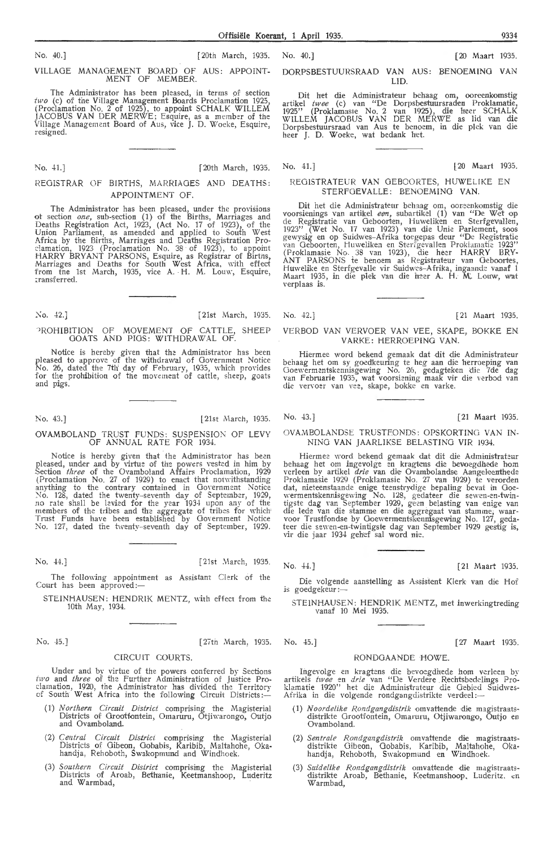VILLAGE MANAGEMENT BOARD Of AUS: APPOINT-MEMBER.

The Administrator has been pleased, in terms of section *two* (c) of foe Village Management Boards Proclamation 1925, (Proclamation No. 2 of 1925) , to appoint SCHALK WILLEM JACOBUS VAN DER MERWE; Esquire, as a member of the Village Management Board of Aus, vice J. D. Woeke, Esquire, resigned.

#### No. 41.] [20th March, 1935.

#### REGISTRAR OF BIRTHS, MARRIAGES AND DEATHS: APPOINTMENT OF.

The Administrator has been pleased, under the provisions ot section *one,* sub-section (1) of the Births, Marriages and Deaths Registration Act, 1923, (Act No. 17 of 1923), of the Union Parliament, as amended and applied to South W est Africa by the Births, Marriages and Deaths Registration Pro- clamation, 1923 (Proclamation No. 38 of 1923), to appoint HARRY BRYANT PARSONS, Esquire, as Registrar of Birtns, Marriages and Deaths for South West Africa, with effect from the 1st March, 1935, vice A. H. M. Louw, Esquire, ~ransferrecl.

#### 'ROHIBITION OF MOVEMENT OF CATTLE, SHEEP GOATS AND PIGS: WITHDRAWAL OF.

Notice is hereby given that the Administrator has been pleased to approve of the withdrawal of Government Notice No. 26, dated the 7th day of February, 1935, which provides<br>for the prohibition of the movement of cattle, sheep, goats and pigs.

No. 43.] [21st March, 1935.

#### OVAMBOLAND TRUST FUNDS: SUSPENSION OF LEVY OF ANNUAL RATE FOR 1934.

Notice is hereby given that the Administrator has been pleased, under and by virtue of the powers vested in him by Section *three* of the Ovamboland Affairs Proclamation, 1929 {Proclamation No. 27 of 1929) to enact that notwithstanding anything to the contrary contained in Government Notice No. 128, dated the twenty-seventh day of September, 1929, no rate shall be levied for the year 19:3-1 upon any of the members of the tribes and the aggregate of tribes for which' Trust Funds have been established by Government Notice No. 127, dated the twenty-sev•enth day of September, 1929.

No. 44.] [ 21st March, 1935.

The following appointment as Assistant Clerk of the Court has been approved:-

STEINHAUSEN: HENDRIK MENTZ, with effect from the 10th May, 1934.

No. 45.] [27 March, 1935. No. 45.] [27 March, 1935. No. 45.]

Under and by Yirtue of the powers conferred by Sections *two* and *three* of the Further Administration of Justice Proclamation, 1920, the Administrator has divided the Territory<br>of South West Africa into the following Circuit Districts:—

CIRCUIT COURTS.

- (1) *Northern Circuit District* comprising the Magisterial Districts of Grootfontein, Omaruru, Otjiwarongo, Outjo and Ovamboland.
- (2) *Central Circuit District* comprising the Magisterial Districts of Gibeon, Gobabis, Karibib, Maltahohe, Oka• handja, Rehoboth, Śwakopmund and Windhoek.
- (3) *Southern Circuit District* comprising the Magisterial Districts of Aroab, Beth'anie, K,eetmanshoop, Luderitz and Warmbad,

No. 40.] [20th March, 1935. No. 40.] [20 Maart 1935.

#### DORPSBESTUURSRAAD VAN AUS: BENOEMING VAN LID.

Dit het die Administrateur behaag om, ooreenkomstig artikel twee (c) van "De Dorpsbestuursraden Proklamatie, 1925" (Proklamasie No. 2 van 1925), die heer SCHALK WILLEM JACOBUS VAN DER MER\YE \_as lid van die Dorpsbestuursraad van Aus te benoem, in die plek van die heer J. D. Woeke, wat bedank het.

#### REGISTRATEUR VAN OEBOORTES, HUWELIKE EN STERFGEVALLE: BENOEMING VAN.

Dit het die Administrateur behaag om, ooreenkomstig die voorsienings van artikel een, subartikel (1) van "De Wet op de Registratie van Geboorten, Huweliken en Sterfgevallen,<br>1923'' (Wet No. 17 van 1923) van die Unie Parlement, soos<br>gewysig en op Suidwes–Afrika toegepas deur "De Registratie van Geboorten, Huweliken en Sterfgevallen Proklamatie 1923" (Proklamasie No. 38 van 1923), die heer HARRY BRY-<br>ANT PARSONS te benoem as Registrateur van Geboortes, Huwelike en Sterfgevalle vir Suidwes–Afrika, ingaande vanaf 1 Maart 1935, in die plek van die heer A. H. M. Louw, wat verplaas is.

No. 42.] [21st March, 1935. No. 42.] [ 21 Maart 1935.

#### VERBOD VAN VERVOER VAN VEE, SKAPE, BOKKE EN VARKE: HERROEPINO VAN.

Hiermee word bekend gemaak dat dit die Administrateur<br>behaag het om sy goedkeuring te heg aan die herroeping van<br>Goewermentskennisgewing No. 26, gedagteken die 7de dag van Februarie 1935, wat voorsiening maak vir die verbod van<br>die vervoer van vee, skape, bokke en varke.

No. 43.] [21 Maart 1935.

OVAMBOLANDSE TRUSTFONDS: OPSKORTING VAN IN-NING VAN JAARLIKSE BELASTING VIR 1934.

Hiermee word bekend gemaak dat dit die Administrateur behaag het om ingevolge en kragtens die bevoegdhede hom verleen by artikel *drie* van die Ovambolandse Aangeleenthede Proklamasie 1929 (Proklamasie No. 27 van 1929) te verorden dat, nieteenstaande enige teenstrydige bepaling bevat in Goewermentskennisgewing No. 128, gedateer die sewen-en-twin- tigste dag Yan September 1929, geen be!asting van enige van die lede van die stamme en die aggregaat van stamme; waar-<br>voor Trustfondse by Goewermentskennisgewing No. 127, gedateer die sewen-en-twintigste dag van September 1929 gestig is, vir die jaar 1934 gehef sal word nie.

No. 44.] [21 Maart 1935.

Die volgende aanstelling as Assistent Klerk van die Hof is goedgekeur :-

STEINHAUSEN: HENDRIK MENTZ, met inwerkingtreding vanaf 10 Mei 1935.

### RONDGAANDE HOWE.

Ingevolge en kragtens die bevoegdhede hom verleen by artikels *twee* en *drie* van "De Verdere . Rechtsbedelings Proklamatie 1920'' het die Administrateur die Gebied Suidwes-<br>Afrika in die volgende rondgangdistrikte verdeel:—

- (1) *Noordelike Rondgangdistrik* omvattende die magistraatsdistrikte Grootfontein, Omaruru, Otjiwarongo, Outjo en<br>Ovamboland.
- (2) *Sentrale Rondgmzgdistrik* omvattende die magistraatsdistrikte Oibeon, Gobabis, Karibib, Maltahohe, Okahandja, Rehoboth, Swakopmund en Windhoek.
- (3) Suidelike Rondgangdistrik omvattende die magistraats-<br> distrikte Aroab, Bethanie, Keetmanshoop, Luderitz. en Warmhad.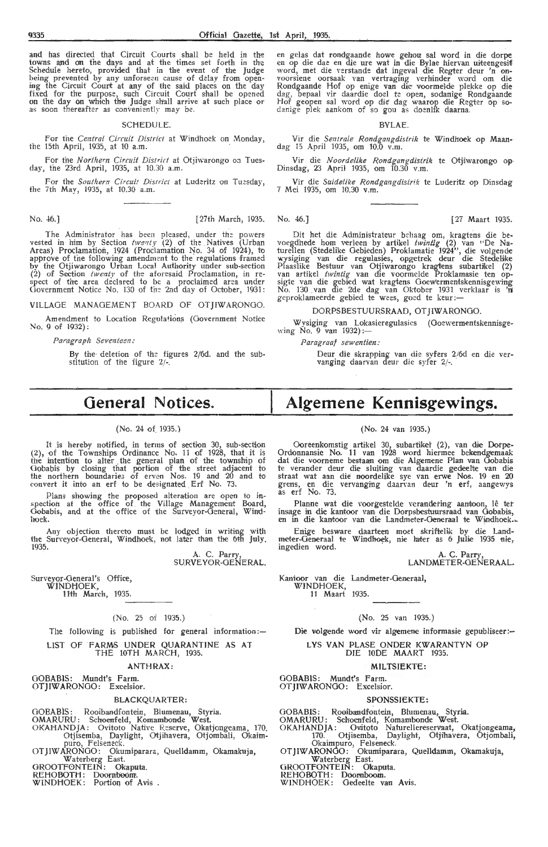and has directed that Circuit Courts shall be held in the towns and on the days and at the times set forth in the Schedule hereto, provided that in the event of the Judge<br>being prevented by any unforseen cause of delay from open-<br>ing the Circuit Court at any of the said places on the day fixed for the purpose, such Circuit Court shall be opened on the day on which the Judge shall arrive at such place or as soon thereafter as conveniently may be.

#### SCHEDULE.

For the *Central Circuit District* at Windhoek on Monday, the 15th April, 1935, at 10 a.m.

For the *Northern Circuit District* at Otjiwarongo on Tuesday, the 23rd April, 1935, at 10.30 a.m.

For the Southern Circuit District at Luderitz on Tuesday, the 7th May, 1935, at 10.30 a.m.

No. 46.] [27 Maart 1935. [27th March, 1935. No. 46.] [27 Maart 1935.

The Administrator has been pleased, under the powers vested in him by Section *twer1ty* (2) of the Natives (Urban Areas) Proclamation, 1924 *(* Proclamation No. 34 of 1924 ), to approve of the following amendment to the regulations framed by the Otjiwarongo Urban Local Authority under sub-section (2) of Section *twenty* of the aforesaid Proclamation, in re-<br>spect of tire area declared to be a proclaimed area under<br>Government Notice No. 130 of the 2nd day of October, 1931:

VILLAGE MANAGEMENT BOARD OF OTJIWARONGO.

Am endment to Location Regulations (Government Notice **No. 9** of 1932) :

*Paragraph Seventeen:* 

By the deletion of *the* figur es 2/6d. and the substitution of the figure 2/-.

en gelas dat rondgaande howe gehou sal word in die dorpe<br>en op die dae en die ure wat in die Bylae hiervan uiteengesit! word, met die Yerstande dat ingeval die Regter deur 'n on- voorsiene oorsaak van vertraging verhinder word om die Rondgaande Hof op enige van die voormelde plekke op die dag, bepaal vir daardie doel te open, sodanige Rondgaande Hof geopen sal word op die dag waarop die Regter op so-<br>danige plek aankom of so gou as doenlik daarna.

#### BYLAE.

Vir die *Sentrale R ondgcmgdistrik* te Windhoek op Maandag 15 April 1935, om 10.0 v.m.

Vir die *Noordelike Rondgangdistrik* te Otjiwarongo op• Dinsd<1g, 23 April 1935, om 10.30 v.m.

Vir die Suidelike Rondgangdistrik te Luderitz op Dinsdag 7 Mei 1935, om 10.30 v.m.

Dit het die Adrninistrateur behaag om, kragtens die bevoegdhede hom verleen by artikel *twintig* (2) van "De Naturellen (Stedelike Gebieden) Proklamatie 1924", die volgende wysiging van die regulasies, opgetrek deur die Stedelike Plaaslike Bestuur van Otjiwarongo kragtens subartikel (2) van artikel *twintig* van die voormelde Proklamasie ten opsigte van die gebied wat kragtens Goewermentskennisgewing<br>No. 130 van die 2de dag van Oktober 1931 verklaar is 'n<br>geproklameerde gebied te wees, goed te keur:—

#### DORPSBESTUURSRAAD, OT JIWARONOO.

Wysiging van Lokasieregulasies (Goewermentskennisge- wing No. 9 van 1932) :-

*Paragraa/ sewentien:* 

Deur die skrapping van die syfers 2/6d en die ver- vanging daarvan deur die syfer 2/-.

## **General Notices.**

#### (No. 24 of 1935.)

It is hereby notified, in terms of section 30, sub-section (2), of the Townships Ordinance No, 11 of 1928, that it is the intention to alter the general plan of the township of Gobabis by closing that portion of the street adjacent to the northern boundaries of erven Nos. 19 and 20 and to convert it into an erf to be designated Erf No. 73.

Plans showing the proposed alteration are open to in-<br>spection at the office of the Village Management Board, Gobabis, and at the office of the Surveyor-General, Windhoek.

Any objection thereto must be lodged in writing with the Surveyor-General, Windhoek, not later than the 6th July. 1935.

> A. C. Parry, SURVEYOR-GENERAL.

Surveyor-General's Office, WINDHOEK,<br>11th March, 1935.

#### (No. 25 of 1935.)

The following is published for general information:-LIST OF FARMS UNDER QUARANTINE AS AT

### THE 10TH MARCH, 1935.

#### .ANTHRAX :

GOBABlS: Mundt's Farm. OTJIWARONGO: Excelsior.

#### BLACKQUARTER:

GOEABIS: Rooibandfontein, Biumenau, Styria.

- OMARURU: Schoenfeld, Komambonde West.
- OKAHANDJA: Ovitoto Native Reserve, Okatjongeama, 170. Otjisemba, Daylight, Otjihavera, Otjombali, Okairnpuro, Felseneck. OTJIWARONGO: Okumiparara, Quelldamm, Okamakuja,
- Waterberg East.

OROOTFONTEIN: Okaputa. REHOBOTH: Doornboom.

WINDHOEK: Portion of Avis

## **Algemene Kennisgewings.**

#### (No. 24 van 1935.)

Ooreenkomstig artikel 30, subartikel (2), van die Dorpe-Ordonnansie No. **11** van 1928 word hiermee bekendgemaak dat die voorneme bestaan om die Algemene Plan van Oobabis te verander deur die sluiting van daardie gedeelte van die straat wat aan die noordelike sve van erwe Nos. 19 en 20 grens, en die vervanging daarvan deur 'n erf, aangewys<br>as erf No. 73.

Planne wat die voorgestelde verandering aantoon, lê ter insage in die kantoor van die Dorpsbestuursraad van Gobabis, en in die kantoor van die Landmeter-Oeneraal te Windhoek.

Enige besware daarteen moet skriftelik by die Landmeter-Oeneraal te Windhoek, nie laiter as 6 Julie 1935 nie, ingedien word.

> A. C. Parry, LANDMETER-OENERAAL.

Kantoor van die Landmeter-Generaal,

\XTINDHOEK, 11 Maart 1935.

#### (No. 25 van 1935.)

Die volgende word vir algemene informasie gepubliseer:--

LYS VAN PLASE ONDER KWARANTYN OP DIE 10DE MAART 1935.

#### MILTSIEKTE:

GOBABIS: Mundt's Farm.

OTJIWARONGO: Excelsior.

#### SPONSSJEKTE:

GOBABlS: Rooibandfontein, Blumenau, Styria.

- OMARURU: Schoenfeld, Komambonde West.<br>OKAHANDJA: Ovitoto Naturellereservaat, Okatjongeama, 170. Otjisemba, Daylight, Otjihavera, Otjombali,
- Okaimpuro, Felseneck.<br>
OT J IWARONGO: Okumiparara, Quelldamm, Okamakuja,<br>
Waterberg East.<br>
GROOTFONTEIN: Okaputa.<br>
REHOBOTH: Doornboom.
- 

WINDHOEK: Gedeelte van Avis.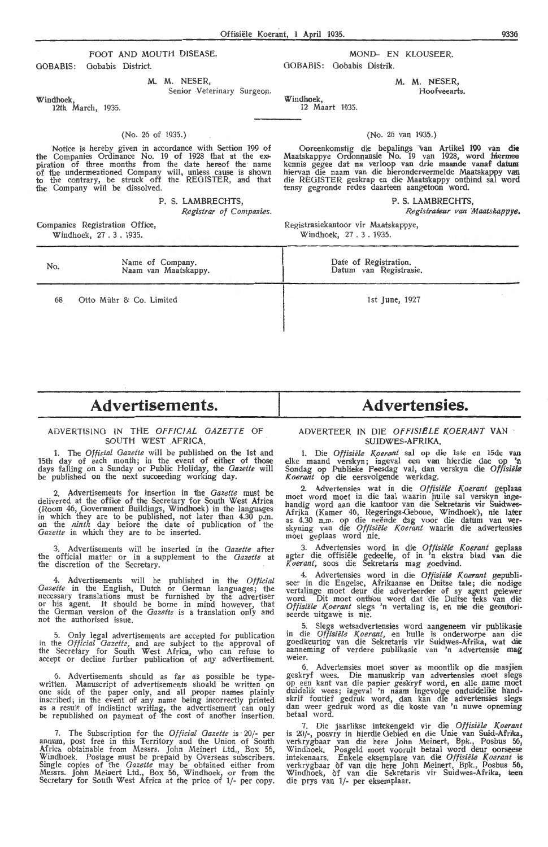#### FOOT AND MOUTH DISEASE. MOND- EN KLOUSEER. GOBABIS: Gobabis District.

M. M. NESER,

Senior Veterinary Surgeon.

Windhoek,

No.

68

12th March, 1935.

#### (No. 26 of 1935.)

Notice is hereby given in accordance with Section 199 of the Companies Ordinance No. 19 of 1928 that at the expiration of three months from the date hereof the name<br>of the undermentioned Company will, unless cause is shown to the contrary, be struck off the REGISTER, and that the Company will be dissolved.

Name of Company. Naam van Maatskappy.

P. S. LAMBRECHTS,

Companies Registration Office, Windhoek, 27 . 3 . 1935.

Otto Mühr & Co. Limited

GOBABIS: Gobabis Distrik.

M. M. NESER,

Hoofveearts.

Windhoek, 12 Maart 1935.

 $(N_0, 26 \text{ van } 1035)$ 

Ooreenkomstig die bepalings van Artikel 199 van die Maatskappye Ordonnansie No. 19 van 1928, word hiermee kennis gegee dat na verloop van drie maande vanaf datum hiervan die naam van die hierondervermelde Maatskappy van<br>die REGISTER geskrap en die Maatskappy ontbind sal word tensy gegronde redes daarteen aangetoon word.

P. S. LAMBRECHTS,

*Registrar of Companies. Registratear van Maatskappye.* 

Registrasiekanto6r vir Maatskappye, Windhoek, 27. 3 . 1935.

> Date of Registration. Datum van Registrasie.

> > 1st June, 1927

## **Advertisements.**

#### ADVERTISING IN THE *Orr!C!AL GAZETTE* OF SOUTH WEST .AFRICA.

1. The *Official Gazette* will be published on the 1st and 15th day of each month; in the event of either of those days falling on a Sunday or Public Holiday, the *Gazette* will be published on the next succeeding working day.

2. Advertisements for insertion in the *Gazette* must be delivered at the offioe of the Secretary for South West Africa (Room 46, Government Buildings, Windhoek) in the languages in which they are to be published, not later than 4.30 p.m. on the *ninth* day before the date of publiq1tion of the *Gazette* in which they are to be inserted.

3. Advertisements wili be inserted in the *Gazette* after the official matter or in a supplement to the *Gaz-ette* at the discretion of the Secretary.

4. Advertisements will be published in the *Official Gazette* in the English, Dutch or German languages; the necessary translations must be furnished by the advertiser or his agent. It should be borne in mind however, that or his agent. It should be borne in mind however, that<br>the German version of the *Gazette* is a translation only and not the authorised issue.

5. Only legal advertisements are accepted for publication in the *Official Gazette*, and are subject to the approval of the Secretary for South West Africa, who can refuse to accept or decline further publication of any advertisement.

6. Advertisements should as far as possible be typewritten. Manuscript of advertisements should be written on<br>one side of the paper only, and all proper names plainly inscribed; in the event of any name being incorrectly printed as a result of indistinct writing, the advertisement can only be republished on payment of the cost of another insertion.

7. The Subscription for the *Official Gazette* is 20/- per annum, post free in this Territory and the Union of South Africa obtainable from Messrs. John Meinert Ltd., Box 56, Windhoek. Postage must be prepaid by Overseas subscribers. Single copies of the *Gazette* may be obtained either from Messrs. John Meinert Ltd., Box 56, Windhoek, or from the Secretary for South West Africa at the price of 1/- per copy.

# **Advertensies.**

## ADVERTEER IN DIE *OFFISIELE KOERANT* **VAN**  SUIDWES-AFRIKA.

1. Die *Offisiele Koerant* sal op die 1ste en 15de **van**  elke maand verskyn; ingeval een van hierdie dae op **'n**  Sondag op Publieke Feesdag val, dan verskyn die Offisiële *Koerant* op die eersvolgende werkdag.

2. Advertensies wat in die Offisiële Koerant geplaas moet word moet in die taal waarin hulle sal verskyn ingehandig word aan die kantoor van die Sekretaris vir Suidwes-Afrika (Kamer 46, Regerings-Geboue, Windhoek), nie later as 4.30 n.m. op die neënde dag voor die datum van ver- skyning van die *Offisiële Koerant* waarin die advertensies moet geplaas word nie.

3. Advertensies word in die Offisiële Koerant geplaas agter die offisiële gedeelte, of in 'n ekstra blad van die Koerant, soos die Sekretaris mag goedvind.

4. Advertensies word in die Offisiële Koerant gepubliseer in die Engelse, Afrikaanse en Duitse tale; die nodige vertalinge moet deur die adverteerder of sy agent gelewer word. Dit moet onthou word dat die Duitse teks van die Offisiële Koerant slegs 'n vertaling is, en nie die geoutori- seerde uitgawe is nie.

5. Slegs wetsadvertensies word aangeneem vir publikasie in die Offisiële Koerant, en hulle is onderworpe aan die goedkeuring van die Sekretaris vir Suidwes-Afrika, wat die aanneming of verdere publikasie van 'n advertensie mag weier.

6. Advertensies moet sover as moontlik op die masjien geskryf wees. Die manuskrip van advertensies moet slegs op een kant van die papier geskryf word, en alle name moet duidelik wees; ingeval 'n naam ingevolge onduidelike handskrif foutief gedruk word, dan kan die advertensies slegs dan weer gedruk word as die koste van 'n nuwe opneming betaal word.

7. Die jaarlikse intekengeld vir die *Olfisiele Koerant*  is 20/-, posvry in hierdie Gebied en die Unie van Suid-Afrika, verkrygbaar van die here John Meinert, Bpk., Posbus 56, Windhoek. Posgeld moet vooruit betaal word deur oorseese intekenaars. Enkele eksemplare van die *Offisiële Koerant* is verkrygbaar of van die here John Meinert, Bpk., Posbus 56, Windhoek, of van die Sekretaris vir Suidwes-Afrika, teen die prys van 1/- per eksemplaar.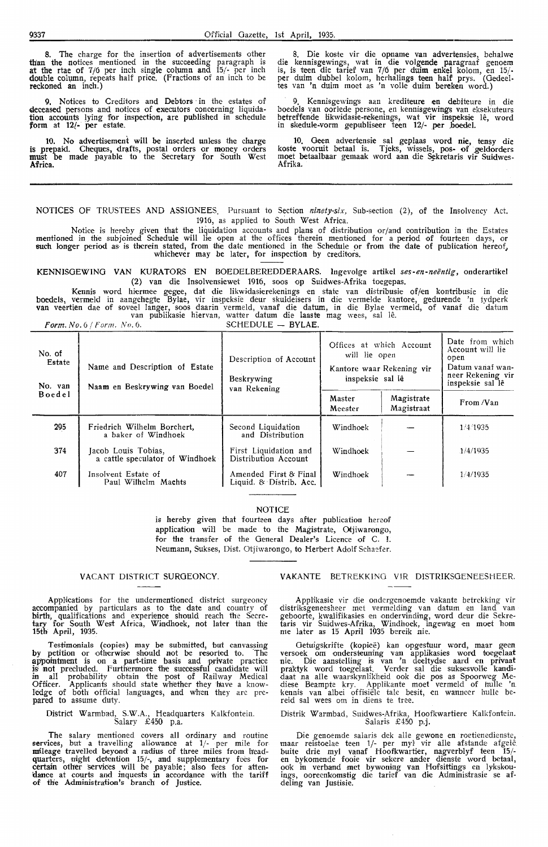8. The charge for the insertion of advertisements other than the notices mentioned in the succeeding paragraph is at the rtae of  $7/6$  per inch single column and  $15/-$  per inch double column, repeats half price. (Fractions of an inch to be reckoned an inch.)

Notices to Creditors and Debtors in the estates of deceased persons and notices of executors concerning liquidation accounts lying for inspection, are published in schedule form at 12{- per estate.

10. No advertisement will be inserted unless the charge is prepaid. Cheques, drafts, postal orders or money orders must be made payable to the Secretary for South West Africa.

8. Die koste vir die opname van advertensies, behalwe die kennisgewings, wat in die volgende paragraaf genoem is, is teen die tarief van 7/6 per duim enkel kolom, en 15/per duim dubbel kolom, herhaling**s teen half pr**ys. (Gedeel-<br>tes van 'n duim moet as 'n volle <mark>duim bereken</mark> word.)

Kennisgewings aan krediteure en debiteure in die boedels van oorlede persone, en kennisgewings van eksekuteurs betreffende likwidasie-rekenings, wat vir inspeksie lê, word in skedule-vorm gepubliseer teen 12/- per ,boedel.

10. Geen advertensie sal geplaas word nie, tensy die koste vooruit betaal is. Tjeks, wissels, pos- of geldorders moet betaalbaar gemaak word aan die Sekretaris vir Suidwes<br>Afrika.

NOTICES OF TRUSTEES AND ASSIGNEES. Pursuant to Section *ninety-six,* Sub-section (2), of the Insolvency Act. 1916, as applied to South West Africa.

Notice is hereby given that the liquidation accounts and plans of distribution or/and contribution in the Estates mentioned in the subjoined Schedule will lie open at the offices therein mentioned for a period of fourteen days, or<br>such longer period as is therein stated, from the date mentioned in the Schedule or from the date of publ whichever may be later, for inspection by creditors.

KENNISOEWINO VAN KURATORS EN BOEDELBEREDDERAARS. Ingevolge artikel *ses-en-neentig,* onderartikel (2) van die Insolvensiewet 1916, soos op Suidwes-Afrika toegepas.

Kennis word hiermee gegee, dat die likwidasierekenings en state van distribusie of/en kontribusie in die<br>boedels, vermeld in aangehegte Bylae, vir inspeksie deur skuldeisers in die vermelde kantore, gedurende 'n tydperk van veertien dae of soveel langer, soos daarin vermeld, vanaf die datum, in die Bylae vermeld, of vanaf die datum<br>van publikasie hiervan, watter datum die laaste mag wees, sal lê.

Form. No. 6 / *Form. No.* 6. SCHEDULE - BYLAE.

| No. of<br>Estate<br>Name and Description of Estate<br>No. van<br>Naam en Beskrywing van Boedel |                                                        | Description of Account<br>Beskrywing<br>van Rekening | Offices at which Account<br>will lie open<br>Kantore waar Rekening vir<br>inspeksie sal lê |                          | Date from which<br>Account will lie<br>open<br>Datum vanaf wan-<br>neer Rekening vir<br>inspeksie sal lê |  |
|------------------------------------------------------------------------------------------------|--------------------------------------------------------|------------------------------------------------------|--------------------------------------------------------------------------------------------|--------------------------|----------------------------------------------------------------------------------------------------------|--|
| <b>Boedel</b>                                                                                  |                                                        |                                                      | Master<br>Meester                                                                          | Magistrate<br>Magistraat | From /Van                                                                                                |  |
| 295                                                                                            | Friedrich Wilhelm Borchert,<br>a baker of Windhoek     | Second Liquidation<br>and Distribution               | Windhoek                                                                                   |                          | 1/4/1935                                                                                                 |  |
| 374                                                                                            | Jacob Louis Tobias,<br>a cattle speculator of Windhoek | First Liquidation and<br>Distribution Account        | Windhoek                                                                                   |                          | 1/4/1035                                                                                                 |  |
| 407                                                                                            | Insolvent Estate of<br>Paul Wilhelm Machts             | Amended First & Final<br>Liquid. & Distrib. Acc.     | Windhoek                                                                                   |                          | 1/4/1935                                                                                                 |  |

NOTICE

is hereby given that fourteen days after publication hereof application will be made to the Magistrate, Otjiwarongo, for the transfer of the General Dealer's Licence of C. I. Neumann, Sukses, Dist. Otjiwarongo, to Herbert Adolf Schaefer.

#### VACANT DISTRICT SURGEONCY.

Applications for the undermentioned district surgeoncy accompanied by particulars as to the date and country of birth, qualifications and experience should reach the Secretary for South West Africa, Windhoek, not later than the 15th April, 1935.

Testimonials (copies) may be submitted, but canvassing by petition or otherwise should not be resorted to. The appointment is on a part-time basis and private practice is not precluded. Furthermore the successful candidate will<br>in all probability obtain the post of Railway Medical Officer. Applicants should state whiether they 'hiave a knowledge of both official languages, and when they are prepared to assume duty.

District Warmbad, S.W.A., Headquarters Kalkfontein. Salary £450 p.a.

The salary mentioned covers all ordinary and routine services, but a travelling allowance at  $1/-$  per mile for mileage travelled beyond a radius of three miles from headquarters, night detention 15/-, and suppiementary foes for certain other services will be payable; also fees for attendance at courts and inquests in accordance with the tariff of th'e Administration's branch of Justice.

#### V AKANTE BETREKKINO VIR DISTRIKSGENEESHEER.

Applikasie vir die ondergenoemde vakante betrekking vir distriksgeneesheer met vermelding van datum en land van<br>geboorte, kwalifikasies en ondervinding, word deur die Sekretaris vir Suidwes-Afrika, Windhoek, ingewag en moet hom<br>me later as 15 April 1935 bereik nie.

Getuigskrifte (kopiee) kan opgestuur word, maar geen versoek om ondersteuning van applikasies word toegelaat nie. Die aanste!ling is van 'n deeltydse aard en privaat praktyk word toegelaat. Verder sal die suksesvolle kandidaat na alle waarskynlikheid ook die pos as Spoorweg Mediese Beampte kry. Applikante moet vermeld of hulle 'n kennis van albei offisiële tale besit, en wanneer hulle bereid sal wees om in diens te tree.

Distrik Warmbad, Suidwes-Afrika, Hoofkwartiere Kalkfontein. Salaris £450 p.j.

Die genoemde salaris dek alle gewone en roetienedienste, maar reistoelae teen 1/- per myl vir alle afstande afgelê buite drie myl vanaf Hoofkwartier, nagverblyf teen 15/-<br>en bykomende fooie vir sekere ander dienste word betaal, ook in verband met bywoning van Hofsittings en lykskouings, ooreenkomstig die tarief van die Administrasie se af-<br>deling van Justisie.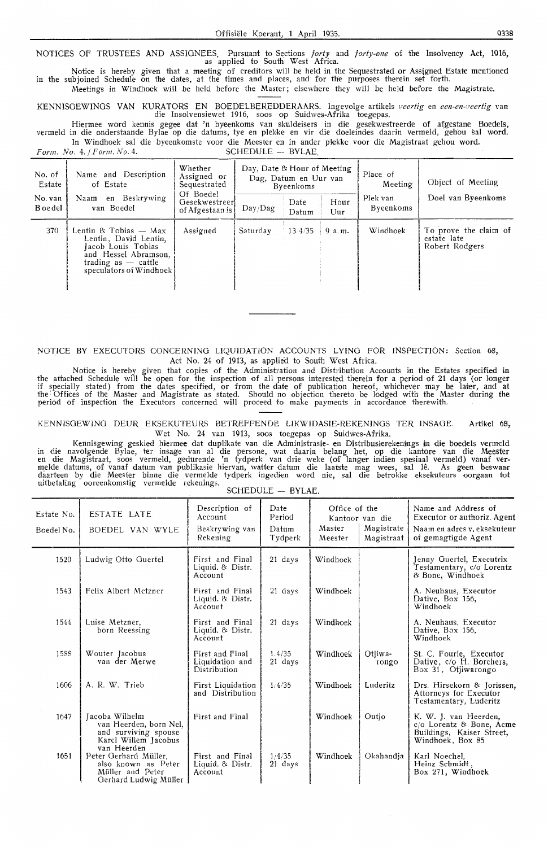NOTICES OF TRUSTEES AND ASSIGNEES. Pursuant to Sections *forty* and *forty-one* of the Insolvency Act, 1916, as applied to South West Africa.

Notice is hereby given that a meeting of creditors will be held in the Sequestrated or Assigned Estate mentioned in the subjoined Schedule on the dates, at the times and places, and for the purposes therein set forth. Meetings in Windhoek will be held before the Master; elsewhere they will be held before the Magistrate.

KENNISGEWINGS VAN KURATORS EN BOEDELBEREDDERAARS. Ingevolge artikels *veertig* en *een-en-veertig* **van** 

die Insolvensiewet 1916, soos op Suidwes-Afrika toegepas. Hiermee word kennis gegee dat 'n byeenkoms van skuldeisers in die gesekwestreerde of afgestane Boedels, vermeld in die onderstaande Bylae op die datums, tye en plekke en vir die doeieindes daarin vermeld, gehou sal word. In Windhoek sal die byeenkomste voor die Meester en in ander plekke voor die Magistraat gehou word.

*Form. No. 4. / Form. No. 4.* **SCHEDULE - BYLAE.** 

| No. of<br>Estate<br>No. van<br><b>B</b> oe del | Name and Description<br>of Estate<br>Naam en Beskrywing<br>van Boedel                                                                            | Whether<br>Assigned or<br>Sequestrated<br>Of Boedel<br>Gesekwestreerl<br>of Afgestaan is b | Day, Date & Hour of Meeting<br>Day/Dag | Dag, Datum en Uur van<br>Byeenkoms<br>Date<br>Datum | Hour<br>Uur | Place of<br>Meeting<br>Plek van<br>Byeenkoms | Object of Meeting<br>Doel van Byeenkoms                |
|------------------------------------------------|--------------------------------------------------------------------------------------------------------------------------------------------------|--------------------------------------------------------------------------------------------|----------------------------------------|-----------------------------------------------------|-------------|----------------------------------------------|--------------------------------------------------------|
| 370                                            | Lentin & Tobias — Max<br>Lentin, David Lentin,<br>Jacob Louis Tobias<br>and Hessel Abramson,<br>trading as $-$ cattle<br>speculators of Windhoek | Assigned                                                                                   | Saturday                               | $-13.4/35$                                          | 9a.m.       | Windhoek                                     | To prove the claim of<br>estate late<br>Robert Rodgers |

NOTICE BY EXECUTORS CONCERNING LIQUIDATION ACCOUNTS LYING FOR INSPECTION: Section 68, Act No. 24 of 1913, as applied to South West Africa.

Notice is hereby given that copies of the Administration and Distribution Accounts in the Estates specified in the attached Schedule will be open for the inspection of all persons interested therein for a period of 21 days (or longer if specially stated) from the dates specified, or from the date of publication hereof, whichever may be later, and at the Offices of the Master and Magistrate as stated. Should no objection thereto be lodged with the Master during the period of inspection the Executors concerned will proceed to make payments in accordance therewith.

KENNISGEWiNG DEUR EKSEKUTEURS BETREFFENDE LIKWIDASIE-REKENINGS TER lNSAGE. Artikel 68, Wet No. 24 van 1913, soos toegepas op Suidwes-Afrika.

Kennisgewing geskied hiermee dat duplikate van die Administrasie- en Distribusierekenings in die boedels vermeld in die navolgende Bylae, ter insage van al die persone, wat daarin belang het, op die kantore van die Meester<br>en die Magistraat, soos vermeld, gedurende 'n tydperk van drie weke (of langer indien spesiaal vermeld) vanaf ve daarteen by die Meester binne die vermelde tydperk ingedien word nie, sal die betrokke eksekuteurs oorgaan tot uitbetaling ooreenkomstig vermelde rekenings. SCHEDULE - BYLAE.

| Estate No.<br>Boedel No. | ESTATE LATE<br>BOEDEL VAN WYLE                                                                           | Description of<br>Account<br>Beskrywing van<br>Rekening | Date<br>Period<br>Datum<br>Tydperk | Office of the<br>Master<br>Meester | Kantoor van die<br>Magistrate<br>Magistraat | Name and Address of<br>Executor or authoriz. Agent<br>Naam en adres v. eksekuteur<br>of gemagtigde Agent |
|--------------------------|----------------------------------------------------------------------------------------------------------|---------------------------------------------------------|------------------------------------|------------------------------------|---------------------------------------------|----------------------------------------------------------------------------------------------------------|
| 1520                     | Ludwig Otto Guertel                                                                                      | First and Final<br>Liquid. & Distr.<br>Account          | 21 days                            | Windhoek                           |                                             | Jenny Guertel, Executrix<br>Testamentary, c/o Lorentz<br>& Bone, Windhoek                                |
| 1543                     | Felix Albert Metzner                                                                                     | First and Final<br>Liquid. & Distr.<br>Account          | 21 days                            | Windhoek                           |                                             | A. Neuhaus, Executor<br>Dative, Box 156,<br>Windhoek                                                     |
| 1544                     | Luise Metzner,<br>born Reessing                                                                          | First and Final<br>Liquid. & Distr.<br>Account          | 21 days                            | Windhoek                           |                                             | A. Neuhaus, Executor<br>Dative, Box 156,<br>Windhoek                                                     |
| 1588                     | Wouter Jacobus<br>van der Merwe                                                                          | First and Final<br>Liquidation and<br>Distribution      | 1.4/35<br>21 days                  | Windhoek                           | Otiiwa-<br>rongo                            | St. C. Fourie, Executor<br>Dative, c/o H. Borchers,<br>Box 31, Otiiwarongo                               |
| 1606                     | A. R. W. Trieb                                                                                           | First Liquidation<br>and Distribution                   | 1/4/35                             | Windhoek                           | Luderitz                                    | Drs. Hirsekorn & Jorissen,<br>Attorneys for Executor<br>Testamentary, Luderitz                           |
| 1647                     | Jacoba Wilhelm<br>van Heerden, born Nel,<br>and surviving spouse<br>Karel Willem Jacobus                 | First and Final                                         |                                    | Windhoek                           | Outio                                       | K. W. J. van Heerden,<br>c/o Lorentz & Bone, Acme<br>Buildings, Kaiser Street,<br>Windhoek, Box 85       |
| 1651                     | van Heerden<br>Peter Gerhard Müller,<br>also known as Peter<br>Müller and Peter<br>Gerhard Ludwig Müller | First and Final<br>Liquid. & Distr.<br>Account          | 1/4/35<br>21 days                  | Windhoek                           | Okahandia                                   | Karl Noechel,<br>Heinz Schmidt,<br>Box 271, Windhoek                                                     |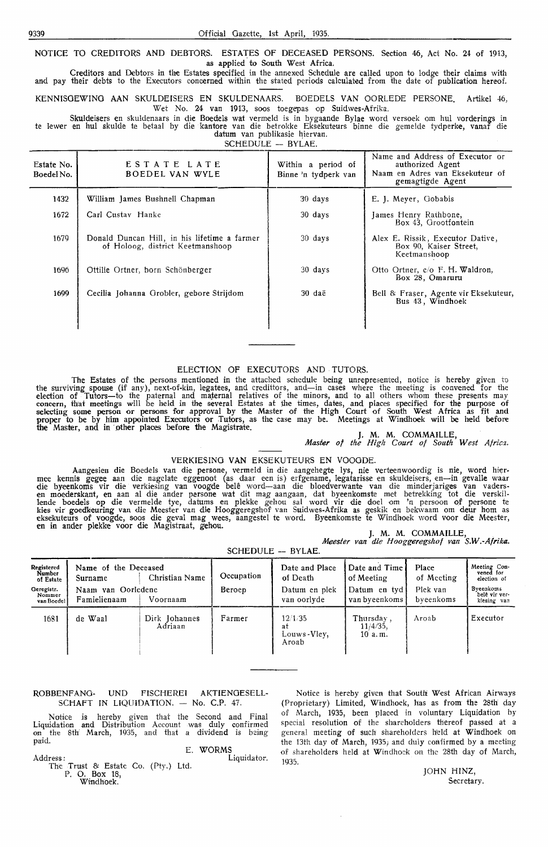**NOTICE** TO CREDITORS AND DEBTORS. ESTATES OF DECEASED PERSONS. Section 46, Act No. 24 of 1913, as applied to South West Africa.

Creditors and Debtors in the Estates specified in the annexed Schedule are called upon to lodge their claims with and pay their debts to the Executors concerned within the stated periods calculated from the date of publication hereof.

KENNISOEWINO AAN SKULDEISERS EN SKULDENAARS. BOEDELS VAN OORLEDE PERSONE. Artikel 46, Wet No. 24 van 1913, soos toegepas op Suidwes-Afrika.

Skuldeisers en skuldenaars in die Boedels wat vermeld is in bygaande Bylae word versoek om hul vorderings in te lewer en hul skulde te betaal by die kantore van die betrokke Eksekuteurs binne die gemelde tydperk**e, va**naf die datum van publikasie hiervan.

SCHEDULE -- BYLAE.

| Estate No.<br>Boedel No. | ESTATE LATE<br>BOEDEL VAN WYLE                                                   | Within a period of<br>Binne 'n tydperk van | Name and Address of Executor or<br>authorized Agent<br>Naam en Adres van Eksekuteur of<br>gemagtigde Agent |
|--------------------------|----------------------------------------------------------------------------------|--------------------------------------------|------------------------------------------------------------------------------------------------------------|
| 1432                     | William James Bushnell Chapman                                                   | 30 days                                    | E. J. Meyer, Gobabis                                                                                       |
| 1672                     | Carl Custay Hanke                                                                | 30 days                                    | James Henry Rathbone,<br>Box 43, Grootfontein                                                              |
| 1679                     | Donald Duncan Hill, in his lifetime a farmer<br>of Holoog, district Keetmanshoop | 30 days                                    | Alex E. Rissik, Executor Dative,<br>Box 90, Kaiser Street,<br>Keetmanshoop                                 |
| 1696                     | Ottilie Ortner, born Schönberger                                                 | 30 days                                    | Otto Ortner, c/o F. H. Waldron,<br>Box 28, Omaruru                                                         |
| 1699                     | Cecilia Johanna Grobler, gebore Strijdom                                         | 30 daë                                     | Bell & Fraser, Agente vir Eksekuteur,<br>Bus 43, Windhoek                                                  |

#### ELECTION OF EXECUTORS AND TUTORS.

The Estates of the persons mentioned in the attached schedule being unrepresented, notice is hereby given to<br>the surviving spouse (if any), next-of-kin, legatees, and credittors, and—in cases where the meeting is convened election of Tutors-to the paternal and maternal relatives of the minors, and to all others whom these presents may concern, that meetings will be held in the several Estates at the times, dates, and places specified for the purpose of selecting some person or persons for approval by the Master of the High Court of South West Africa as fit and proper to be by him appointed Executors or Tutors, as the case may be. Meetings at Windhoek will be held before the Master, and in other places before the Magistrate.<br>J. M. M. COMMAILLE,

*Master of the High Coort of South West Africa.* 

#### VERKIESINO VAN EKSEKUTEURS EN VOOGDE.

Aangesien die Boedels van die persone, vermeld in die aangehegte lys, nie verteenwoordig is nie, word hier-<br>mee kennis gegee aan die nagelate eggenoot (as daar een is) erfgename, legatarisse en skuldeisers, en—in gevalle w 1ende boedels op die vermelde tye, datums en plekke gehou sal word vir die doel om 'n persoon of persone te kies vir goedkeuring van die Meester van die Hooggeregshof van Suidwes-Afrika as geskik en bekwaam om deur hom as eksekuteurs of voogde, soos die geval mag wees, aangestel te word. Byeenkomste te Windhoek word voor die Mee

|                  |  |  | J. M. M. COMMAILLE, |                                                |
|------------------|--|--|---------------------|------------------------------------------------|
|                  |  |  |                     | Meester van die Hooggeregshof van S.W.-Afrika. |
| . . <del>.</del> |  |  |                     |                                                |

| SCHEDULE - BYLAE.                  |                                    |                          |               |                                       |                                    |                       |                                           |
|------------------------------------|------------------------------------|--------------------------|---------------|---------------------------------------|------------------------------------|-----------------------|-------------------------------------------|
| Registered<br>Number<br>of Estate  | Name of the Deceased<br>Surname    | Christian Name           | Occupation    | Date and Place<br>of Death            | Date and Time<br>of Meeting        | Place<br>of Meeting   | Meeting Con-<br>vened for<br>election of  |
| Geregistr.<br>Nommer<br>van Boedel | Naam van Oorledene<br>Famielienaam | Voornaam                 | <b>Beroep</b> | Datum en plek<br>van oorlyde          | Datum en tyd<br>van byeenkoms      | Plek van<br>byeenkoms | Byeenkoms<br>bele vir ver-<br>kiesing van |
| 1681                               | de Waal                            | Dirk Johannes<br>Adriaan | Farmer        | 12/1/35<br>at<br>Louws-Vley,<br>Aroab | Thursday,<br>$11/4/35$ ,<br>10a.m. | Aroab                 | Executor                                  |

#### ROBBENFANO- UNO FISCHEREI AKTIENGESELL-SCHAFT IN LIQUIDATION.  $-$  No. C.P. 47.

Notice is hereby given that the Second and Final Liquidation and Distribution Account was duly confirmed on the 8th: March, 1935, and that a dividend is being paid.

E. WORMS Address: Liquidator.

The Trust & Estate Co. (Pty.) Ltd. P. O. Box 18,<br>Windhoek.

Notice is hereby given that South West African Airways (Proprietary) Limited, Windhoek, has as from the 28th day of March, 1935, been placed in voluntary Liquidation by special resolution of the shareholders thereof passed at a general meeting of such shareholders held at Windhoek on the 13th day of March, 1935; and duly confirmed by a meeting of shareholders held at Windhoek on the 28th day of March, 1935.

> JOHN HINZ, Secretary.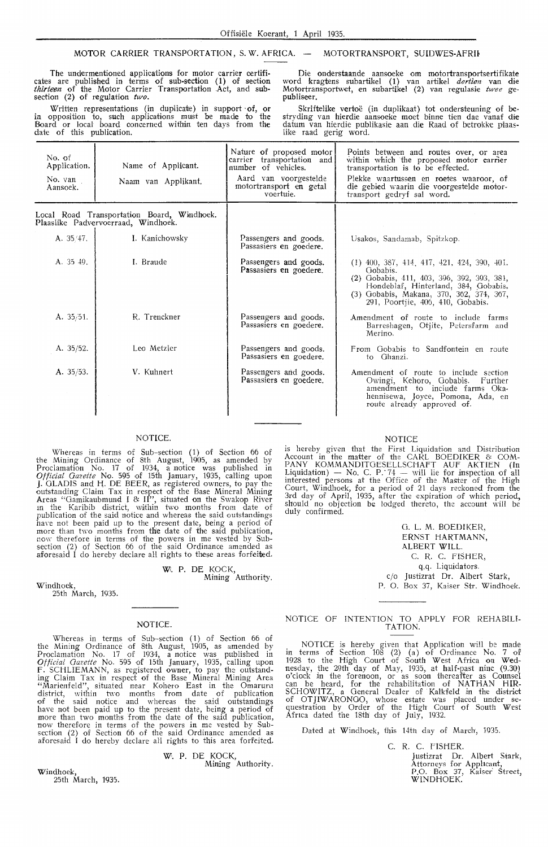#### MOTOR CARRIER TRANSPORTATION, S.W. AFRICA. - MOTORTRANSPORT, SUIDWES-AFRIK

The undermentioned applications for motor carrier certificates are published in terms of sub-section (1) of section thirteen of the Motor Carrier Transportation Act, and subsection (2) of regulation *two.* 

Written representations (in duplicate) in support of, or in opposition to, such applications must be made to the Board or 1ocal board concerned within ten days from the date of this publication.

Die onderstaande aansoeke om motortransportsertifikate word kragtens subartifoel (1) van artikel *dertien* van die Motortransportwet, en subartikel (2) van regulasie *twee* gepubliseer.

Skriftelike vertoë (in duplikaat) tot ondersteuning of bestryding van hierdie aansoeke moet binne tien dae vanaf die datum van hierdie publikasie aan die Raad of betrokke plaaslike raad gerig word.

| No. of<br>Application.<br>No. van<br>Aansoek. | Name of Applicant.<br>Naam van Applikant.                                         | Nature of proposed motor<br>carrier transportation and<br>number of vehicles.<br>Aard van voorgestelde<br>motortransport en getal<br>voertuie. | Points between and routes over, or area<br>within which the proposed motor carrier<br>transportation is to be effected.<br>Plekke waartussen en roetes waaroor, of<br>die gebied waarin die voorgestelde motor-<br>transport gedryf sal word. |
|-----------------------------------------------|-----------------------------------------------------------------------------------|------------------------------------------------------------------------------------------------------------------------------------------------|-----------------------------------------------------------------------------------------------------------------------------------------------------------------------------------------------------------------------------------------------|
|                                               | Local Road Transportation Board, Windhoek.<br>Plaaslike Padvervoerraad, Windhoek. |                                                                                                                                                |                                                                                                                                                                                                                                               |
| A. 35/47.                                     | I. Kanichowsky                                                                    | Passengers and goods.<br>Passasiers en goedere.                                                                                                | Usakos, Sandamab, Spitzkop.                                                                                                                                                                                                                   |
| A. $35\,49$ .                                 | I. Braude                                                                         | Passengers and goods.<br>Passasiers en goedere.                                                                                                | $(1)$ 400, 387, 414, 417, 421, 424, 390, 401.<br>Gobabis.<br>(2) Gobabis, 411, 403, 396, 392, 393, 381,<br>Hondeblaf, Hinterland, 384, Gobabis,<br>(3) Gobabis, Makana, 370, 362, 374, 367,<br>291, Poortjie, 406, 410, Gobabis.              |
| A. 35/51.                                     | R. Trenckner                                                                      | Passengers and goods.<br>Passasiers en goedere.                                                                                                | Amendment of route to include farms<br>Barreshagen, Otjite, Petersfarm and<br>Merino.                                                                                                                                                         |
| A. 35/52.                                     | Leo Metzler                                                                       | Passengers and goods.<br>Passasiers en goedere.                                                                                                | From Gobabis to Sandfontein en route<br>to Ghanzi.                                                                                                                                                                                            |
| A. $35/53$ .                                  | V. Kuhnert                                                                        | Passengers and goods.<br>Passasiers en goedere.                                                                                                | Amendment of route to include section<br>Owingi, Kehoro, Gobabis.<br>Further<br>amendment to include farms Oka-<br>hennisewa, Joyce, Pomona, Ada, en<br>route already approved of.                                                            |

#### NOTICE.

Whereas in terms of Sub-section (1) of Section 66 of the Mining Ordinance of 8th August, 1905, as amended by Proclamation No. 17 of 1934, a notice was published in *Official Gazette* No. 595 of 15th January, 1935, calling upon J. GLADIS and H. DE BEER, as registered owners, to pay the outstanding Claim Tax in respect of the Base Mineral Mining<br>Areas "Gamikaubmund I & II", situated on the Swakop River<br>in the Karibib district, within two months from date of publication of the said notice and whereas the said outstandings<br>have not been paid up to the present date, being a period of more than two months from **th:e** date of the said publication, now therefore in terms of the powers in me vested by Subsection (2) of Section 66 of the powers in me vested by Subsection (2) of Section 66 of the said Ordinance amended as aforesaid I do hereby declare all rights to these areas forfeited.

> **Wi. P. DE KOCK,**  Mining Authority.

Windhoek,

25th March, 1935.

#### NOTICE.

Whereas in terms of Sub-section (1) of Section 66 of the Mining Ordinance of 8th August, 1905, as amended by Proclamation No. 17 of 1934, a notice was published in *Official Gazette* No. 595 of 15th January, 1935, calling upon F. SCHLIEMANN, as registered owner, to pay the outstanding Claim Tax in respect of the Base Mineral Mining Area "Marienfeld", situated near Kohero East in the Omaruru district, within two months from date of publication of the said notice and whereas the said outstandings have not been paid up to the present date, being a period of more than two months from the date of the said publication, now therefore in terms of the powers in me vested by Subsection (2) of Section 66 of the powers in me vested by Subsection (2) of Section 66 of the said Ordinance amended as aforesaid I do hereby declare all rights to this area forfeited.

W. P. DE KOCK,

Mining Authority.

Windhoek, 25th March, 1935. Account in the matter of the CARL BOEDIKER & COM-PANY KOMMANDITGESELLSCHAFT AUF AKTIEN (In Liquidation) - No. C. P.  $74$  - will lie for inspection of all interested persons at the Office of the Master of the High Court, Windhoek, for a period of 21 days reckoned from the 3rd day of April, 1935, after the expiration of which period, should no objection be lodged thereto, the account will be duly confirmed.

NOTICE is hereby given that the First Liquidation and Distribution

> 0. L. M. BOEDIKER, ERNST HARTMANN, ALBERT WILL. C. R. C. FISHER, q.q. Liquidators. c/o Justizrat Dr. Albert Stark, P. 0. Box 37, Kaiser Str. Windhoek.

#### NOTICE OF INTENTION TO APPLY FOR REHABILI-TATION.

NOTICE is hereby given that Application will be made in terms of Section 108 (2) (a) of Ordinance No. 7 of 1928 to the High Court of South West Africa on Wednesday, the 29th day of May, 1935, at half-past nine (9.30) o'clock in the forenoon, or as soon thereafter as Counsel<br>can be heard, for the rehabilitation of NATHAN HIR-SCHOWITZ, a General Dealer of Kalkfeld in the district of OTJIWARONGO, whose estate w'as placed under se- questration by Order of the Iiigh Court of South West Afnca dated the 18th day of July, 1932.

Dated at Windhoek, fhis 14th day of March, 1935.

C. R. C. FISHER.

Justizrat Dr. Albert Stark, Attorneys for Applicant, P.O. Box 37, Kaiser Street, WINDHOEK.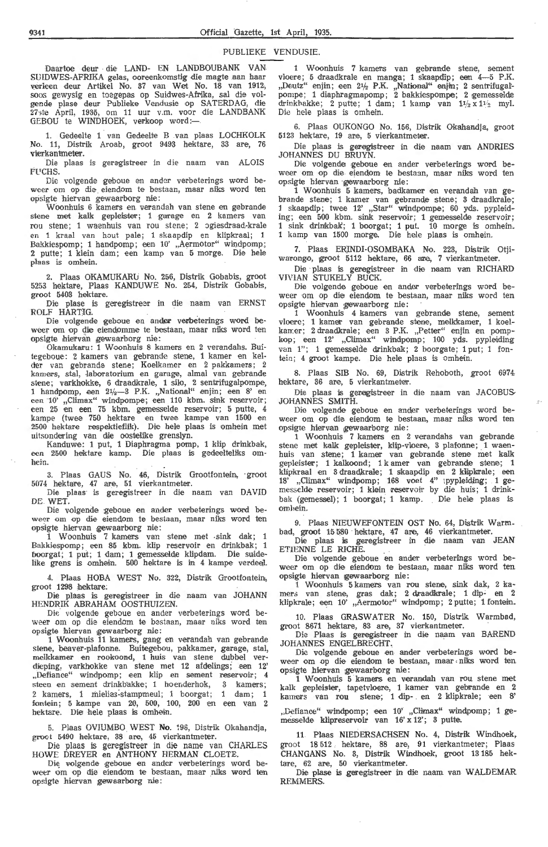#### PUBLIEKE VENDUSIE.

Daartoe deur . die LAND- EN LANDBOUBANK VAN SUIDWES-AFRIKA gelas, ooreenkomstig die magte aan haar verleen deur Artikel No. 37 van Wet No. 18 van 1912, soos gewysig en toegepas op Suidwes-Afrika, sal die volgende plase deur Publieke Vendusie op SATERDAG, die 27ste April, 1935, om 11 uur v.m. voor die LANDBANK GEBOU te WINDHOEK, verkoop word:-

1. Gedeelte 1 · van Gedeelte B .van plaas LOCHKOLK No. 11, Distrik Aroab, groot 9493 hektare, 33 are, 76 vierkantmeter.

Die plaas is geregistreer in die naam van ALOIS Fl'CHS.

Die volgende geboue en ander verbeterings word beweer om op die eiendom te bestaan, maar niks word ten opsigte hiervan gewaarborg nie:

Woonhuis 6 kamers en verandah van stene en gebrande stene met kalk gepleister; 1 garage en 2 kamers van rou stene; 1 waenhuis van rou stene; 2 ogiesdraad-krale en 1 kraal van hout pale; i ska apdip en klipkraal; 1 Bakkiespomp; 1 handpomp; een 10' "Aermotor" windpomp; 2 putte; 1 klein dam; een kamp van 5 morge. Die hele plaas is omhein.

2. Plaas OKAMUKARU No. 256, Distrik Gobabis, groot 5253 hektare, Plaas KANDUWE No. 254, Distrik Gobabis, groot 5403 hektare.

Die plase is geregistreer in die naam van ERNST ROLF HARTIG.

Die volgende geboue en ander verbeterings word beweer om op die eiendomme te bestaan, maar niks word ten opsigte hiervan gewaarborg nie:

Okamukaru: 1 Woonhuis 8 kamers en 2 verandahs. Buitegeboue: 2 kamers van gebrande stene, 1 kamer en kelder van gebrande stene; Koelkamer en 2 pakkamers; 2 kamers, stal, laboratorium en garage, almal van gebrande stene; varkhokke, 6 draadkrale, 1 silo, 2 sentrifugalpompe,<br>1 handpomp, een 2½—3 P.K. "National" enjin; een 8' en een 10' ,,Climax" windpompe; een 110 kbm. sink reservoir; een 25 en een 75 kbm. gemesselde reservoir; 5 putte, 4 kampe (twee 750 hektare en twee kampe van 1500 en 2500 hektare respektieflik). Die hele plaas is omhein met uitsondering van die oostelike grenslyn.

Kanduwe: 1 put, 1 Diaphragma pomp, 1 klip drinkbak, een 2500 hektare kamp. Die plaas is gedeelteliks omhein.

3. Plaas GAUS No. 46, Distrik Grootfontein, groot 5074 hektare, 47 are, 51 vierkantmeter.

Die plaas is geregistreer in die naam van DAVID DE. WET.

Die volgende geboue en ander verbeterings word beweer om op die eiendom te bestaan, maar niks word ten opsigte hiervan gewaarborg nie:

1 Woonhuis 7 kamers van stene met sink dak; 1 Bakkiespomp; een 85 kbm. klip reservoir en drinkbak; 1 boorgat; 1 put; 1 dam; 1 gemesselde klipdam. Die suidelike grens is omhein. 500 hektare is in 4 kampe verdeel.

4. Plaas HOBA WEST No. 322, Distrik Grootfontein, groot 1298 hektare;

Die plaas is geregistreer in die naam van JOHANN HENDRIK ABRAHAM OOSTHUIZEN.

Die· volgende geboue en ander verbeterings word beweer om op die eiendom te bestaan, maar niks word ten opsigte hiervan gewaarborg nie:

1 Woonhuis 11 kamers, gang en verandah van gebrande stene, beaver-plafonne. Buitegebou, pakkamer, garage, stal, melkkamer en rookoond, 1 huis van stene dubbel verdieping, varkhokke van stene met 12 afdelings; een 12' "Defiance" windpomp; een klip en sement reservoir; 4 steen en sement drinkbakke; 1 hoenderhok, 3 kamers; 2 kamers, 1 mielias-stampmeul; 1 boorgat; 1 dam; 1 fontein; 5 kampe van 20, 500, 100, 200 en een van 2 hektare. Die hele plaas is omhein.

5. Plaas OVIUMBO . WEST **No.** 196, Distrik Okahandja, groot 5490 hektare, 38 are, 45 vierkantmeter.

Die plaas is geregistreer in die name van CHARLES HOWE DREYER en ANTHONY HERMAN CLOETE.

Die volgende geboue en ander verbeterings word beweer om op die eiendom te bestaan, maar niks word ten opsigte hiervan gewaarborg nie:

1 Woonhuis 7 kamers van gebrande, stene, sement vloere; 5 draadkrale en manga; 1 skaapdip; een 4-5 P.K. "Deutz" enjin; een 2½ P.K. "National" enjin; 2 sentrifugalpompe; 1 diaphragmapomp; 2 bakkiespompe; 2 gemesselde drinkhakke; 2 putte; 1 dam; 1 kamp van  $1/\sqrt{2} \times 1/\sqrt{2}$  myl. Die hele plaas is omhein.

6. Plaas OUKONGO No. 156, Distrik Okahandja, groot 5123 hektare, 19 are, 5 vierkantmeter.

Die plaas is geregistreer in die naam van ANDRIES JOHANNES DU BRUYN.

Die volgende geboue en ander verbeterings word beweer om op die eiendom te bestaan, maar niks word ten opsigte hiervan gewaarborg nie:

1 Woonhuis 5 kamers, badkamer en verandah van gebrande stene; 1 kamer van gebrande stene; 3 draadkrale; 1 skaapdip; twee 12' "Star" windpompe; 60 yds. pypleiding; een 500 kbm. sink reservoir; 1 gemesselde reservoir; 1 sink drinkbak; 1 boorgat; 1 put. 10 morge is omhein. 1 kamp van 1500 morge. Die hele plaas is omhein.

7. Plaas ERJNDI-OSOMBAKA No. 223, Distrik Otjiwarongo, groot 5112 hektare, 66 are, 7 vierkantmeter.

Die plaas is geregistreer in die naam van RICHARD VIVIAN STUKELY BUCK.

Die volgende geboue en ander verbeterings word beweer om op die eiendom te bestaan, maar niks word ten opsigte hiervan gewaarborg nie:

1 Woonhuis· 4 kamers van gebrande stene, sement vloere; 1 kamer van gebrande stene, melkkamer, 1 koelkamer; 2 draadkrale; een 3 P.K. "Petter" enjin en pompkop; een 12' ,,Climax" windpomp; 100 yds. pypleiding van 1"; 1 gemesselde drinkbak; 2 boorgate; 1 put; 1 fontein; 4 groot kampe. Die hele plaas is omhein.

8. Plaas SIB No. 69, Distrik Rehoboth, groot 6974 hektare, 36 are, 5 vierkantmeter.

Die plaas is geregistreer in die naam van JACOBUS-JOHANNES SMITH.

Die volgende geboue en ander verbeterings word beweer om op die eiendom te bestaan, maar niks word ten opsigte hiervan gewaarborg nie:

1 Woonhuis 7 kamers en 2 verandahs van gebrande stene met kalk gepleister, klip-vloere, 3 plafonne; 1 waenhuis van stene; 1 kamer van gebrande stene met kalk gepleister; 1 kalkoond; 1 k amer van gebrande stene; 1 klipkraal en 3 draadkrale; 1 skaapdip en 2 klipkrale; een 18' "Climax" windpomp; 168 voet 4" :pypleiding; 1 gemesselde reservoir; 1 klein reservoir by die huis; 1 drinkbak (gemessel); 1 boorgat; 1 kamp. Die hele plaas is oml,ein.

9. Plaas NIEUWEFONTEIN OST No. 64, Distrik Warm. bad, groot 15 580 · hektare, 47 are, 46 vierkantmeter.

Die plaas is geregistreer in die naam van JEAN ETIENNE LE RICHE.

Die volgende geboue en ander verbeterings word beweer om op dioe eiendom te bestaan, maar niks word ten opsigte hiervan 1gewaarborg nie:

1 \Voonhuis 5 kamers van rou stene, sink dak, 2 kamers van stene, gras dak; 2 draadkrale; 1 dip- en 2 klipkrale; een 10', Aermotor" windpomp; 2 putte; 1 fontein.

10. Plaas GRASWATER No. 150, Distrik Warmbad, groot 8671 hektare, 83 are, 37 vierkantmeter.

Die Plaas is geregistreer in die naam van BAREND JOHANNES ENGELBRECHT.

Die volgende geboue en ander verbeterings word beweer om op die eiendom te bestaan, maar niks word ten opsigte hiervan gewaarborg nie:

1 Woonhuis 5 kamers en verandah van rou stene met kalk gepleister, tapetvloere, 1 kamer van gebrande en 2 kamers van rou stene; 1 dip- en 2 klipkrale; een 8'

,Defiance" windpomp; een 10' "Climax" windpomp; 1 gemesselde klipreservoir van 16' x 12'; 3 putte,

11 Plaas NIEDERSACHSEN No. 4, Distrik Windhoek, groot 18 512 hektare, 88 are, 91 vierkantmeter; Plaas CHANGANS No. 3, Distrik Windhoek, groot 13 185 hektare, 62 are, 50 vierkantmeter.

Die plase is geregistreer in die naam van WALDEMAR REMMERS.